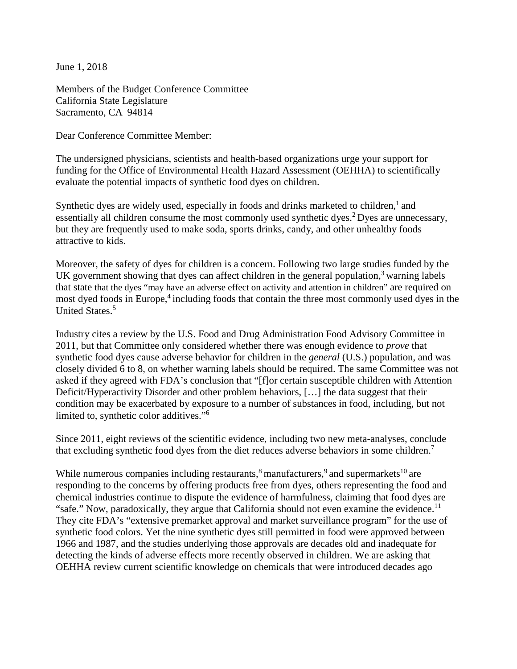June 1, 2018

Members of the Budget Conference Committee California State Legislature Sacramento, CA 94814

Dear Conference Committee Member:

The undersigned physicians, scientists and health-based organizations urge your support for funding for the Office of Environmental Health Hazard Assessment (OEHHA) to scientifically evaluate the potential impacts of synthetic food dyes on children.

Synthetic dyes are widely used, especially in foods and drinks marketed to children, $<sup>1</sup>$  and</sup> essentially all children consume the most commonly used synthetic dyes.<sup>2</sup> Dyes are unnecessary, but they are frequently used to make soda, sports drinks, candy, and other unhealthy foods attractive to kids.

Moreover, the safety of dyes for children is a concern. Following two large studies funded by the UK government showing that dyes can affect children in the general population, $3$  warning labels that state that the dyes "may have an adverse effect on activity and attention in children" are required on most dyed foods in Europe,<sup>4</sup> including foods that contain the three most commonly used dyes in the United States.<sup>[5](#page-2-0)</sup>

Industry cites a review by the U.S. Food and Drug Administration Food Advisory Committee in 2011, but that Committee only considered whether there was enough evidence to *prove* that synthetic food dyes cause adverse behavior for children in the *general* (U.S.) population, and was closely divided 6 to 8, on whether warning labels should be required. The same Committee was not asked if they agreed with FDA's conclusion that "[f]or certain susceptible children with Attention Deficit/Hyperactivity Disorder and other problem behaviors, […] the data suggest that their condition may be exacerbated by exposure to a number of substances in food, including, but not limited to, synthetic color additives.["6](#page-2-1)

Since 2011, eight reviews of the scientific evidence, including two new meta-analyses, conclude that excluding synthetic food dyes from the diet reduces adverse behaviors in some children.<sup>7</sup>

While numerous companies including restaurants, $\frac{8}{3}$  $\frac{8}{3}$  $\frac{8}{3}$  manufacturers, $\frac{9}{3}$  $\frac{9}{3}$  $\frac{9}{3}$  and supermarkets<sup>[10](#page-2-5)</sup> are responding to the concerns by offering products free from dyes, others representing the food and chemical industries continue to dispute the evidence of harmfulness, claiming that food dyes are "safe." Now, paradoxically, they argue that California should not even examine the evidence.<sup>11</sup> They cite FDA's "extensive premarket approval and market surveillance program" for the use of synthetic food colors. Yet the nine synthetic dyes still permitted in food were approved between 1966 and 1987, and the studies underlying those approvals are decades old and inadequate for detecting the kinds of adverse effects more recently observed in children. We are asking that OEHHA review current scientific knowledge on chemicals that were introduced decades ago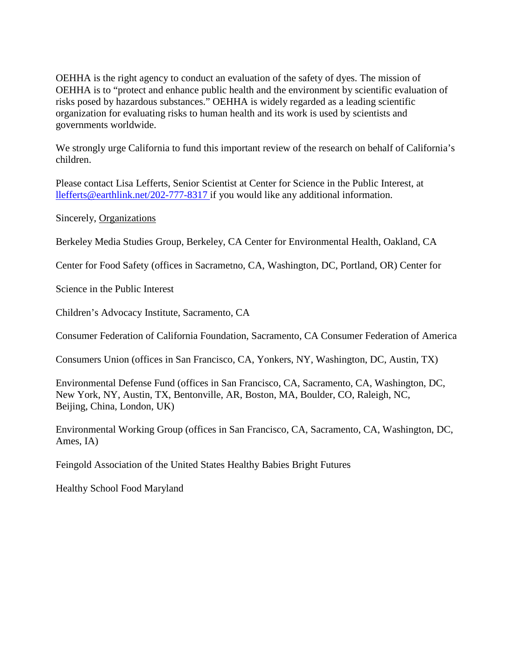OEHHA is the right agency to conduct an evaluation of the safety of dyes. The mission of OEHHA is to "protect and enhance public health and the environment by scientific evaluation of risks posed by hazardous substances." OEHHA is widely regarded as a leading scientific organization for evaluating risks to human health and its work is used by scientists and governments worldwide.

We strongly urge California to fund this important review of the research on behalf of California's children.

Please contact Lisa Lefferts, Senior Scientist at Center for Science in the Public Interest, at llefferts@earthlink.net/202-777-8317 if you would like any additional information.

Sincerely, Organizations

Berkeley Media Studies Group, Berkeley, CA Center for Environmental Health, Oakland, CA

Center for Food Safety (offices in Sacrametno, CA, Washington, DC, Portland, OR) Center for

Science in the Public Interest

Children's Advocacy Institute, Sacramento, CA

Consumer Federation of California Foundation, Sacramento, CA Consumer Federation of America

Consumers Union (offices in San Francisco, CA, Yonkers, NY, Washington, DC, Austin, TX)

<span id="page-1-0"></span>Environmental Defense Fund (offices in San Francisco, CA, Sacramento, CA, Washington, DC, New York, NY, Austin, TX, Bentonville, AR, Boston, MA, Boulder, CO, Raleigh, NC, Beijing, China, London, UK)

<span id="page-1-1"></span>Environmental Working Group (offices in San Francisco, CA, Sacramento, CA, Washington, DC, Ames, IA)

<span id="page-1-2"></span>Feingold Association of the United States Healthy Babies Bright Futures

<span id="page-1-3"></span>Healthy School Food Maryland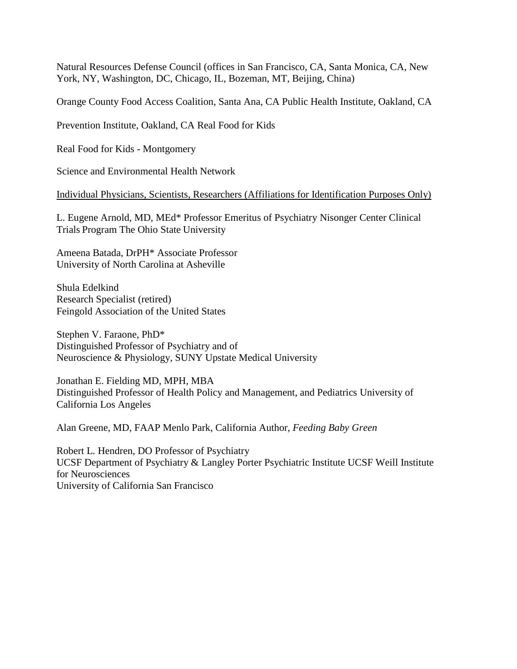<span id="page-2-0"></span>Natural Resources Defense Council (offices in San Francisco, CA, Santa Monica, CA, New York, NY, Washington, DC, Chicago, IL, Bozeman, MT, Beijing, China)

<span id="page-2-1"></span>Orange County Food Access Coalition, Santa Ana, CA Public Health Institute, Oakland, CA

<span id="page-2-2"></span>Prevention Institute, Oakland, CA Real Food for Kids

Real Food for Kids - Montgomery

Science and Environmental Health Network

Individual Physicians, Scientists, Researchers (Affiliations for Identification Purposes Only)

L. Eugene Arnold, MD, MEd\* Professor Emeritus of Psychiatry Nisonger Center Clinical Trials Program The Ohio State University

<span id="page-2-3"></span>Ameena Batada, DrPH\* Associate Professor University of North Carolina at Asheville

<span id="page-2-5"></span><span id="page-2-4"></span>Shula Edelkind Research Specialist (retired) Feingold Association of the United States

<span id="page-2-6"></span>Stephen V. Faraone, PhD\* Distinguished Professor of Psychiatry and of Neuroscience & Physiology, SUNY Upstate Medical University

Jonathan E. Fielding MD, MPH, MBA Distinguished Professor of Health Policy and Management, and Pediatrics University of California Los Angeles

Alan Greene, MD, FAAP Menlo Park, California Author, *Feeding Baby Green*

Robert L. Hendren, DO Professor of Psychiatry UCSF Department of Psychiatry & Langley Porter Psychiatric Institute UCSF Weill Institute for Neurosciences University of California San Francisco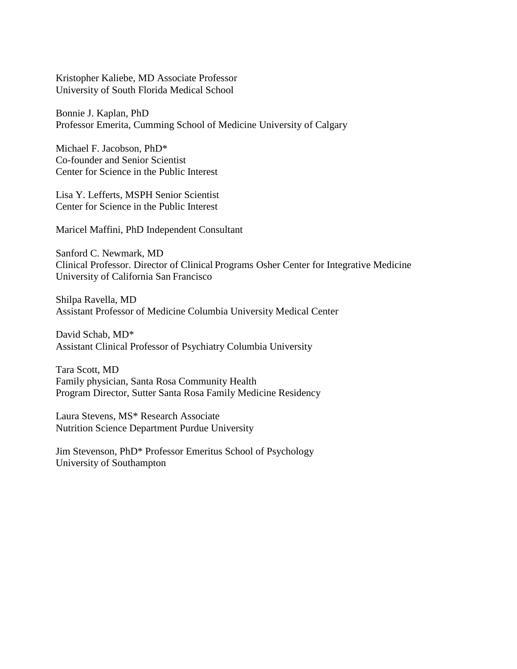Kristopher Kaliebe, MD Associate Professor University of South Florida Medical School

Bonnie J. Kaplan, PhD Professor Emerita, Cumming School of Medicine University of Calgary

Michael F. Jacobson, PhD\* Co-founder and Senior Scientist Center for Science in the Public Interest

Lisa Y. Lefferts, MSPH Senior Scientist Center for Science in the Public Interest

Maricel Maffini, PhD Independent Consultant

Sanford C. Newmark, MD Clinical Professor. Director of Clinical Programs Osher Center for Integrative Medicine University of California San Francisco

Shilpa Ravella, MD Assistant Professor of Medicine Columbia University Medical Center

David Schab, MD\* Assistant Clinical Professor of Psychiatry Columbia University

Tara Scott, MD Family physician, Santa Rosa Community Health Program Director, Sutter Santa Rosa Family Medicine Residency

Laura Stevens, MS\* Research Associate Nutrition Science Department Purdue University

Jim Stevenson, PhD\* Professor Emeritus School of Psychology University of Southampton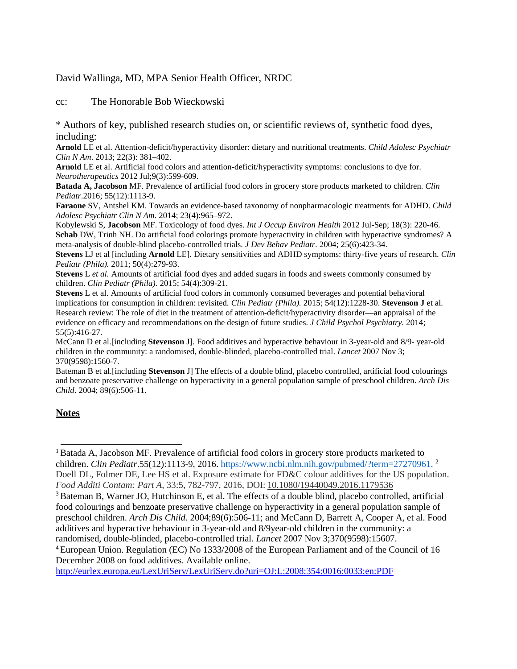## David Wallinga, MD, MPA Senior Health Officer, NRDC

cc: The Honorable Bob Wieckowski

\* Authors of key, published research studies on, or scientific reviews of, synthetic food dyes, including:

**Arnold** LE et al. Attention-deficit/hyperactivity disorder: dietary and nutritional treatments. *Child Adolesc Psychiatr Clin N Am*. 2013; 22(3): 381–402.

**Arnold** LE et al. Artificial food colors and attention-deficit/hyperactivity symptoms: conclusions to dye for. *Neurotherapeutics* 2012 Jul;9(3):599-609.

**Batada A, Jacobson** MF. Prevalence of artificial food colors in grocery store products marketed to children. *Clin Pediatr*.2016; 55(12):1113-9.

**Faraone** SV, Antshel KM. Towards an evidence-based taxonomy of nonpharmacologic treatments for ADHD. *Child Adolesc Psychiatr Clin N Am*. 2014; 23(4):965–972.

Kobylewski S, **Jacobson** MF. Toxicology of food dyes. *Int J Occup Environ Health* 2012 Jul-Sep; 18(3): 220-46. **Schab** DW, Trinh NH. Do artificial food colorings promote hyperactivity in children with hyperactive syndromes? A meta-analysis of double-blind placebo-controlled trials. *J Dev Behav Pediatr*. 2004; 25(6):423-34.

**Stevens** LJ et al [including **Arnold** LE]. Dietary sensitivities and ADHD symptoms: thirty-five years of research. *Clin Pediatr (Phila).* 2011; 50(4):279-93.

**Stevens** L *et al.* Amounts of artificial food dyes and added sugars in foods and sweets commonly consumed by children. *Clin Pediatr (Phila).* 2015; 54(4):309-21.

**Stevens** L et al. Amounts of artificial food colors in commonly consumed beverages and potential behavioral implications for consumption in children: revisited*. Clin Pediatr (Phila).* 2015; 54(12):1228-30. **Stevenson J** et al. Research review: The role of diet in the treatment of attention-deficit/hyperactivity disorder—an appraisal of the evidence on efficacy and recommendations on the design of future studies. *J Child Psychol Psychiatry.* 2014; 55(5):416-27.

McCann D et al.[including **Stevenson** J]. Food additives and hyperactive behaviour in 3-year-old and 8/9- year-old children in the community: a randomised, double-blinded, placebo-controlled trial. *Lancet* 2007 Nov 3; 370(9598):1560-7.

Bateman B et al.[including **Stevenson** J] The effects of a double blind, placebo controlled, artificial food colourings and benzoate preservative challenge on hyperactivity in a general population sample of preschool children. *Arch Dis Child*. 2004; 89(6):506-11.

## **Notes**

[http://eurlex.europa.eu/LexUriServ/LexUriServ.do?uri=OJ:L:2008:354:0016:0033:en:PDF](http://eurlex.europa.eu/LexUriServ/LexUriServ.do?uri=OJ%3AL%3A2008%3A354%3A0016%3A0033%3Aen%3APDF)

<sup>&</sup>lt;sup>1</sup> Batada A, Jacobson MF. Prevalence of artificial food colors in grocery store products marketed to children. *Clin Pediatr*.55(12):1113-9, 2016. https:/[/www.ncbi.nlm.nih.gov/pubmed/?term=27270961.](http://www.ncbi.nlm.nih.gov/pubmed/?term=27270961) <sup>2</sup> Doell DL, Folmer DE, Lee HS et al. Exposure estimate for FD&C colour additives for the US population. *Food Additi Contam: Part A*, 33:5, 782-797, 2016, DOI: [10.1080/19440049.2016.1179536](https://doi.org/10.1080/19440049.2016.1179536)

<sup>3</sup> Bateman B, Warner JO, Hutchinson E, et al. The effects of a double blind, placebo controlled, artificial food colourings and benzoate preservative challenge on hyperactivity in a general population sample of preschool children. *Arch Dis Child*. 2004;89(6):506-11; and McCann D, Barrett A, Cooper A, et al. Food additives and hyperactive behaviour in 3-year-old and 8/9year-old children in the community: a randomised, double-blinded, placebo-controlled trial. *Lancet* 2007 Nov 3;370(9598):15607.

<sup>4</sup> European Union. Regulation (EC) No 1333/2008 of the European Parliament and of the Council of 16 December 2008 on food additives. Available online.